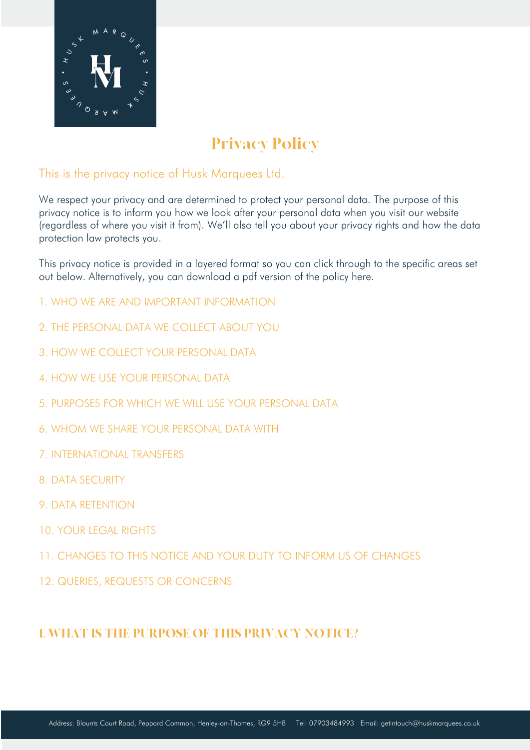

# Privacy Policy

### This is the privacy notice of Husk Marquees Ltd.

We respect your privacy and are determined to protect your personal data. The purpose of this privacy notice is to inform you how we look after your personal data when you visit our website (regardless of where you visit it from). We'll also tell you about your privacy rights and how the data protection law protects you.

This privacy notice is provided in a layered format so you can click through to the specific areas set out below. Alternatively, you can download a pdf version of the policy here.

- 1. WHO WE ARE AND IMPORTANT INFORMATION
- 2. THE PERSONAL DATA WE COLLECT ABOUT YOU
- 3. HOW WE COLLECT YOUR PERSONAL DATA
- 4. HOW WE USE YOUR PERSONAL DATA
- 5. PURPOSES FOR WHICH WE WILL USE YOUR PERSONAL DATA
- 6. WHOM WE SHARE YOUR PERSONAL DATA WITH
- 7. INTERNATIONAL TRANSFERS
- 8. DATA SECURITY
- 9. DATA RETENTION
- 10. YOUR LEGAL RIGHTS
- 11. CHANGES TO THIS NOTICE AND YOUR DUTY TO INFORM US OF CHANGES
- 12. QUERIES, REQUESTS OR CONCERNS

## 1. WHAT IS THE PURPOSE OF THIS PRIVACY NOTICE?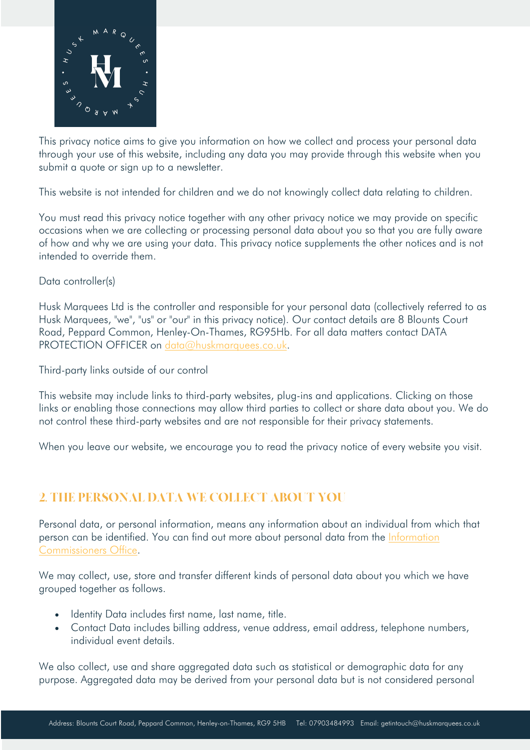

This privacy notice aims to give you information on how we collect and process your personal data through your use of this website, including any data you may provide through this website when you submit a quote or sign up to a newsletter.

This website is not intended for children and we do not knowingly collect data relating to children.

You must read this privacy notice together with any other privacy notice we may provide on specific occasions when we are collecting or processing personal data about you so that you are fully aware of how and why we are using your data. This privacy notice supplements the other notices and is not intended to override them.

Data controller(s)

Husk Marquees Ltd is the controller and responsible for your personal data (collectively referred to as Husk Marquees, "we", "us" or "our" in this privacy notice). Our contact details are 8 Blounts Court Road, Peppard Common, Henley-On-Thames, RG95Hb. For all data matters contact DATA PROTECTION OFFICER on data@huskmarquees.co.uk.

Third-party links outside of our control

This website may include links to third-party websites, plug-ins and applications. Clicking on those links or enabling those connections may allow third parties to collect or share data about you. We do not control these third-party websites and are not responsible for their privacy statements.

When you leave our website, we encourage you to read the privacy notice of every website you visit.

## 2. THE PERSONAL DATA WE COLLECT ABOUT YOU

Personal data, or personal information, means any information about an individual from which that person can be identified. You can find out more about personal data from the Information Commissioners Office.

We may collect, use, store and transfer different kinds of personal data about you which we have grouped together as follows.

- Identity Data includes first name, last name, title.
- Contact Data includes billing address, venue address, email address, telephone numbers, individual event details.

We also collect, use and share aggregated data such as statistical or demographic data for any purpose. Aggregated data may be derived from your personal data but is not considered personal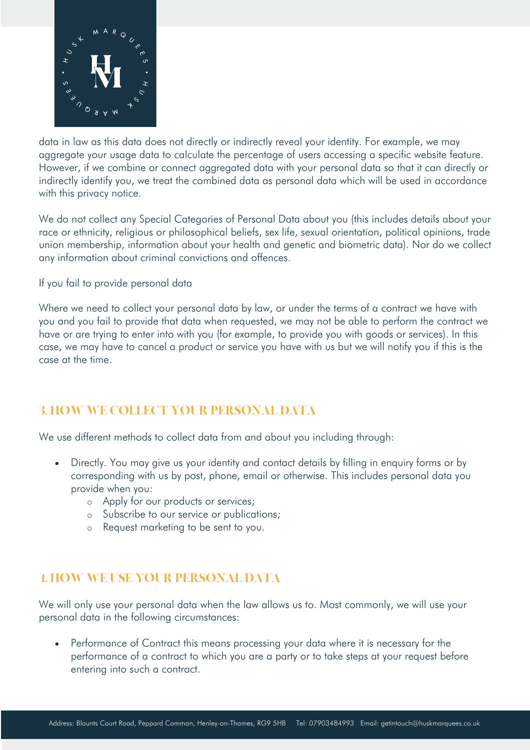

data in law as this data does not directly or indirectly reveal your identity. For example, we may aggregate your usage data to calculate the percentage of users accessing a specific website feature. However, if we combine or connect aggregated data with your personal data so that it can directly or indirectly identify you, we treat the combined data as personal data which will be used in accordance with this privacy notice.

We do not collect any Special Categories of Personal Data about you (this includes details about your race or ethnicity, religious or philosophical beliefs, sex life, sexual orientation, political opinions, trade union membership, information about your health and genetic and biometric data). Nor do we collect any information about criminal convictions and offences.

If you fail to provide personal data

Where we need to collect your personal data by law, or under the terms of a contract we have with you and you fail to provide that data when requested, we may not be able to perform the contract we have or are trying to enter into with you (for example, to provide you with goods or services). In this case, we may have to cancel a product or service you have with us but we will notify you if this is the case at the time.

## 3. HOW WE COLLECT YOUR PERSONAL DATA

We use different methods to collect data from and about you including through:

- Directly. You may give us your identity and contact details by filling in enquiry forms or by corresponding with us by post, phone, email or otherwise. This includes personal data you provide when you:
	- o Apply for our products or services;
	- o Subscribe to our service or publications;
	- o Request marketing to be sent to you.

## 4. HOW WE USE YOUR PERSONAL DATA

We will only use your personal data when the law allows us to. Most commonly, we will use your personal data in the following circumstances:

• Performance of Contract this means processing your data where it is necessary for the performance of a contract to which you are a party or to take steps at your request before entering into such a contract.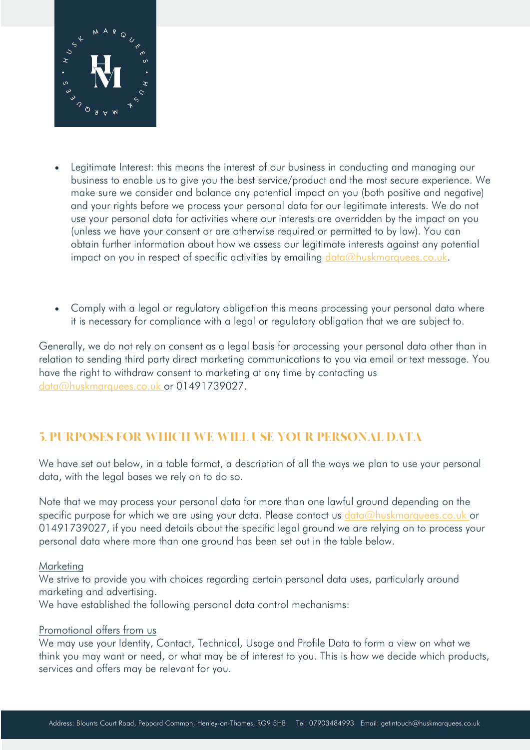

- Legitimate Interest: this means the interest of our business in conducting and managing our business to enable us to give you the best service/product and the most secure experience. We make sure we consider and balance any potential impact on you (both positive and negative) and your rights before we process your personal data for our legitimate interests. We do not use your personal data for activities where our interests are overridden by the impact on you (unless we have your consent or are otherwise required or permitted to by law). You can obtain further information about how we assess our legitimate interests against any potential impact on you in respect of specific activities by emailing  $data@huskmarques.co.uk$ .
- Comply with a legal or regulatory obligation this means processing your personal data where it is necessary for compliance with a legal or regulatory obligation that we are subject to.

Generally, we do not rely on consent as a legal basis for processing your personal data other than in relation to sending third party direct marketing communications to you via email or text message. You have the right to withdraw consent to marketing at any time by contacting us data@huskmarquees.co.uk or 01491739027.

## 5. PURPOSES FOR WHICH WE WILL USE YOUR PERSONAL DATA

We have set out below, in a table format, a description of all the ways we plan to use your personal data, with the legal bases we rely on to do so.

Note that we may process your personal data for more than one lawful ground depending on the specific purpose for which we are using your data. Please contact us data@huskmarquees.co.uk or 01491739027, if you need details about the specific legal ground we are relying on to process your personal data where more than one ground has been set out in the table below.

#### **Marketing**

We strive to provide you with choices regarding certain personal data uses, particularly around marketing and advertising.

We have established the following personal data control mechanisms:

### Promotional offers from us

We may use your Identity, Contact, Technical, Usage and Profile Data to form a view on what we think you may want or need, or what may be of interest to you. This is how we decide which products, services and offers may be relevant for you.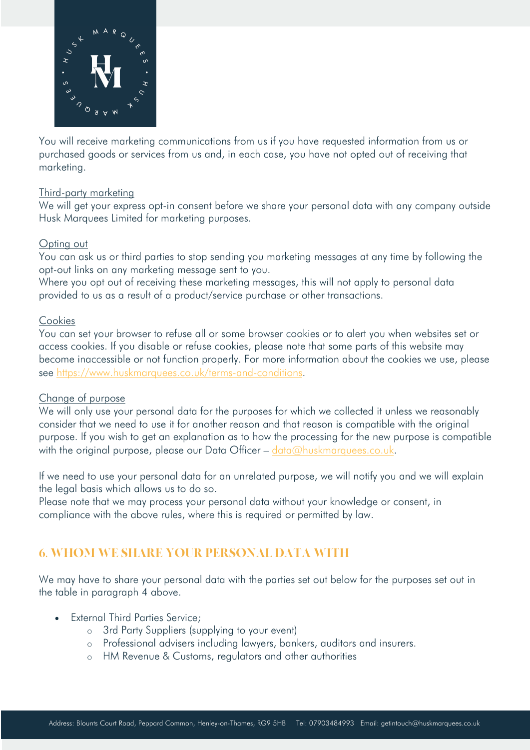

You will receive marketing communications from us if you have requested information from us or purchased goods or services from us and, in each case, you have not opted out of receiving that marketing.

### Third-party marketing

We will get your express opt-in consent before we share your personal data with any company outside Husk Marquees Limited for marketing purposes.

#### Opting out

You can ask us or third parties to stop sending you marketing messages at any time by following the opt-out links on any marketing message sent to you.

Where you opt out of receiving these marketing messages, this will not apply to personal data provided to us as a result of a product/service purchase or other transactions.

### Cookies

You can set your browser to refuse all or some browser cookies or to alert you when websites set or access cookies. If you disable or refuse cookies, please note that some parts of this website may become inaccessible or not function properly. For more information about the cookies we use, please see https://www.huskmarquees.co.uk/terms-and-conditions.

#### Change of purpose

We will only use your personal data for the purposes for which we collected it unless we reasonably consider that we need to use it for another reason and that reason is compatible with the original purpose. If you wish to get an explanation as to how the processing for the new purpose is compatible with the original purpose, please our Data Officer –  $data@huskmarques.co.uk$ .

If we need to use your personal data for an unrelated purpose, we will notify you and we will explain the legal basis which allows us to do so.

Please note that we may process your personal data without your knowledge or consent, in compliance with the above rules, where this is required or permitted by law.

## 6. WHOM WE SHARE YOUR PERSONAL DATA WITH

We may have to share your personal data with the parties set out below for the purposes set out in the table in paragraph 4 above.

- **External Third Parties Service;** 
	- o 3rd Party Suppliers (supplying to your event)
	- o Professional advisers including lawyers, bankers, auditors and insurers.
	- o HM Revenue & Customs, regulators and other authorities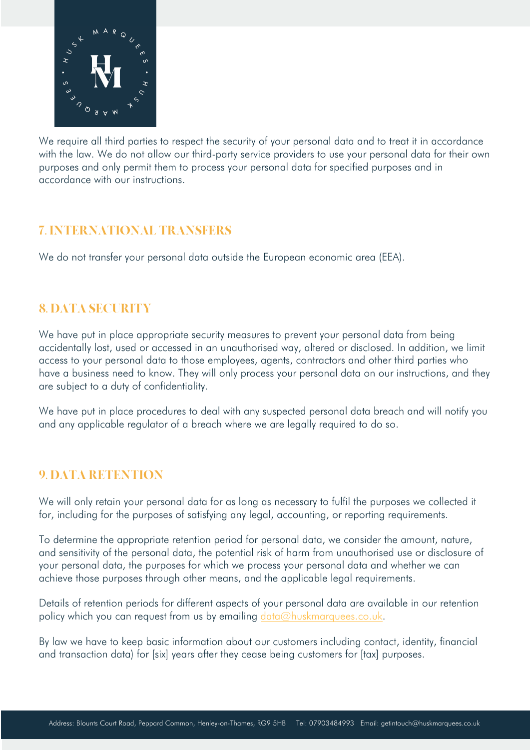

We require all third parties to respect the security of your personal data and to treat it in accordance with the law. We do not allow our third-party service providers to use your personal data for their own purposes and only permit them to process your personal data for specified purposes and in accordance with our instructions.

## 7. INTERNATIONAL TRANSFERS

We do not transfer your personal data outside the European economic area (EEA).

# 8. DATA SECURITY

We have put in place appropriate security measures to prevent your personal data from being accidentally lost, used or accessed in an unauthorised way, altered or disclosed. In addition, we limit access to your personal data to those employees, agents, contractors and other third parties who have a business need to know. They will only process your personal data on our instructions, and they are subject to a duty of confidentiality.

We have put in place procedures to deal with any suspected personal data breach and will notify you and any applicable regulator of a breach where we are legally required to do so.

## 9. DATA RETENTION

We will only retain your personal data for as long as necessary to fulfil the purposes we collected it for, including for the purposes of satisfying any legal, accounting, or reporting requirements.

To determine the appropriate retention period for personal data, we consider the amount, nature, and sensitivity of the personal data, the potential risk of harm from unauthorised use or disclosure of your personal data, the purposes for which we process your personal data and whether we can achieve those purposes through other means, and the applicable legal requirements.

Details of retention periods for different aspects of your personal data are available in our retention policy which you can request from us by emailing data@huskmarquees.co.uk.

By law we have to keep basic information about our customers including contact, identity, financial and transaction data) for [six] years after they cease being customers for [tax] purposes.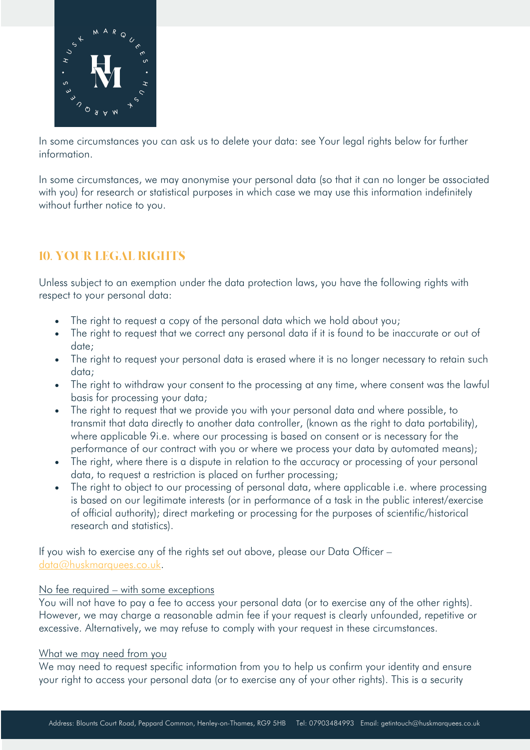

In some circumstances you can ask us to delete your data: see Your legal rights below for further information.

In some circumstances, we may anonymise your personal data (so that it can no longer be associated with you) for research or statistical purposes in which case we may use this information indefinitely without further notice to you.

# 10. YOUR LEGAL RIGHTS

Unless subject to an exemption under the data protection laws, you have the following rights with respect to your personal data:

- The right to request a copy of the personal data which we hold about you;
- The right to request that we correct any personal data if it is found to be inaccurate or out of date;
- The right to request your personal data is erased where it is no longer necessary to retain such data;
- The right to withdraw your consent to the processing at any time, where consent was the lawful basis for processing your data;
- The right to request that we provide you with your personal data and where possible, to transmit that data directly to another data controller, (known as the right to data portability), where applicable 9i.e. where our processing is based on consent or is necessary for the performance of our contract with you or where we process your data by automated means);
- The right, where there is a dispute in relation to the accuracy or processing of your personal data, to request a restriction is placed on further processing;
- The right to object to our processing of personal data, where applicable i.e. where processing is based on our legitimate interests (or in performance of a task in the public interest/exercise of official authority); direct marketing or processing for the purposes of scientific/historical research and statistics).

If you wish to exercise any of the rights set out above, please our Data Officer – data@huskmarquees.co.uk.

### No fee required – with some exceptions

You will not have to pay a fee to access your personal data (or to exercise any of the other rights). However, we may charge a reasonable admin fee if your request is clearly unfounded, repetitive or excessive. Alternatively, we may refuse to comply with your request in these circumstances.

#### What we may need from you

We may need to request specific information from you to help us confirm your identity and ensure your right to access your personal data (or to exercise any of your other rights). This is a security